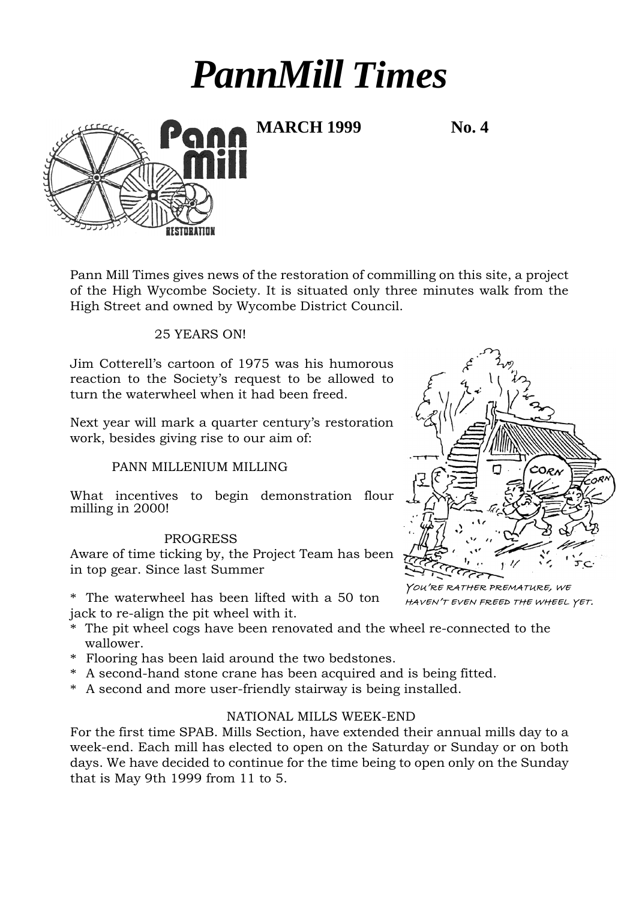# *PannMill Times*

**MARCH 1999 No. 4**

Pann Mill Times gives news of the restoration of commilling on this site, a project of the High Wycombe Society. It is situated only three minutes walk from the High Street and owned by Wycombe District Council.

## 25 YEARS ON!

Jim Cotterell's cartoon of 1975 was his humorous reaction to the Society's request to be allowed to turn the waterwheel when it had been freed.

Next year will mark a quarter century's restoration work, besides giving rise to our aim of:

# PANN MILLENIUM MILLING

What incentives to begin demonstration flour milling in 2000!

### PROGRESS

Aware of time ticking by, the Project Team has been in top gear. Since last Summer

\* The waterwheel has been lifted with a 50 ton jack to re-align the pit wheel with it.

- \* The pit wheel cogs have been renovated and the wheel re-connected to the wallower.
- \* Flooring has been laid around the two bedstones.
- \* A second-hand stone crane has been acquired and is being fitted.
- \* A second and more user-friendly stairway is being installed.

# NATIONAL MILLS WEEK-END

For the first time SPAB. Mills Section, have extended their annual mills day to a week-end. Each mill has elected to open on the Saturday or Sunday or on both days. We have decided to continue for the time being to open only on the Sunday that is May 9th 1999 from 11 to 5.



YOU'RE RATHER PREMATURE, WE HAVEN'T EVEN FREED THE WHEEL YET.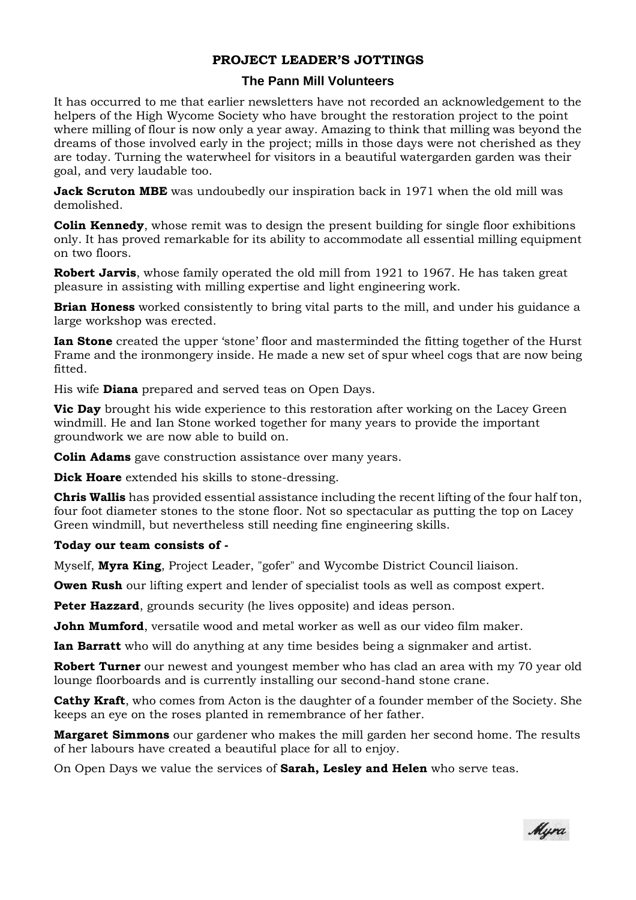# **PROJECT LEADER'S JOTTINGS**

#### **The Pann Mill Volunteers**

It has occurred to me that earlier newsletters have not recorded an acknowledgement to the helpers of the High Wycome Society who have brought the restoration project to the point where milling of flour is now only a year away. Amazing to think that milling was beyond the dreams of those involved early in the project; mills in those days were not cherished as they are today. Turning the waterwheel for visitors in a beautiful watergarden garden was their goal, and very laudable too.

**Jack Scruton MBE** was undoubedly our inspiration back in 1971 when the old mill was demolished.

**Colin Kennedy**, whose remit was to design the present building for single floor exhibitions only. It has proved remarkable for its ability to accommodate all essential milling equipment on two floors.

**Robert Jarvis**, whose family operated the old mill from 1921 to 1967. He has taken great pleasure in assisting with milling expertise and light engineering work.

**Brian Honess** worked consistently to bring vital parts to the mill, and under his guidance a large workshop was erected.

**Ian Stone** created the upper 'stone' floor and masterminded the fitting together of the Hurst Frame and the ironmongery inside. He made a new set of spur wheel cogs that are now being fitted.

His wife **Diana** prepared and served teas on Open Days.

**Vic Day** brought his wide experience to this restoration after working on the Lacey Green windmill. He and Ian Stone worked together for many years to provide the important groundwork we are now able to build on.

**Colin Adams** gave construction assistance over many years.

**Dick Hoare** extended his skills to stone-dressing.

**Chris Wallis** has provided essential assistance including the recent lifting of the four half ton, four foot diameter stones to the stone floor. Not so spectacular as putting the top on Lacey Green windmill, but nevertheless still needing fine engineering skills.

#### **Today our team consists of -**

Myself, **Myra King**, Project Leader, "gofer" and Wycombe District Council liaison.

**Owen Rush** our lifting expert and lender of specialist tools as well as compost expert.

**Peter Hazzard**, grounds security (he lives opposite) and ideas person.

**John Mumford**, versatile wood and metal worker as well as our video film maker.

**Ian Barratt** who will do anything at any time besides being a signmaker and artist.

**Robert Turner** our newest and youngest member who has clad an area with my 70 year old lounge floorboards and is currently installing our second-hand stone crane.

**Cathy Kraft**, who comes from Acton is the daughter of a founder member of the Society. She keeps an eye on the roses planted in remembrance of her father.

**Margaret Simmons** our gardener who makes the mill garden her second home. The results of her labours have created a beautiful place for all to enjoy.

On Open Days we value the services of **Sarah, Lesley and Helen** who serve teas.

Myra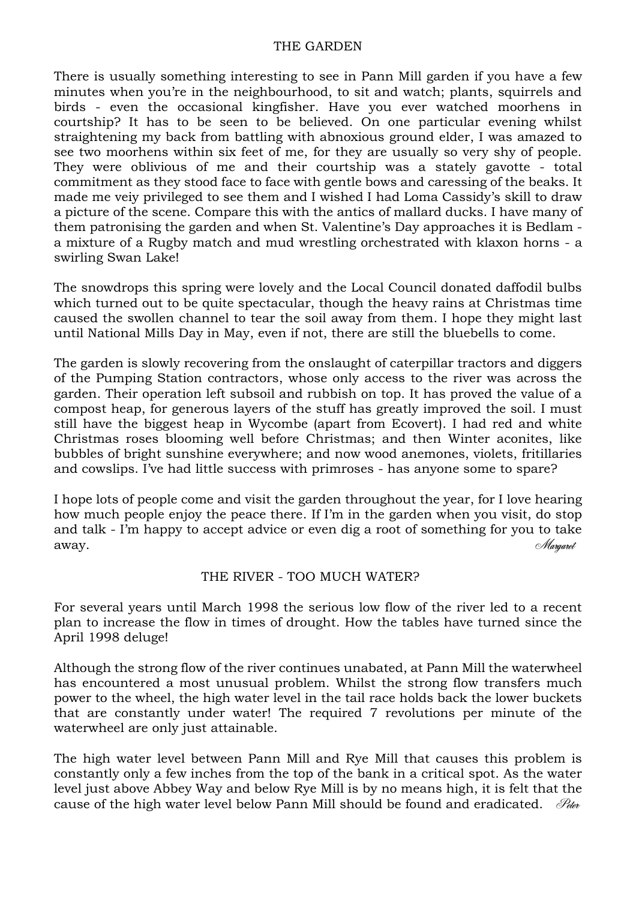## THE GARDEN

There is usually something interesting to see in Pann Mill garden if you have a few minutes when you're in the neighbourhood, to sit and watch; plants, squirrels and birds - even the occasional kingfisher. Have you ever watched moorhens in courtship? It has to be seen to be believed. On one particular evening whilst straightening my back from battling with abnoxious ground elder, I was amazed to see two moorhens within six feet of me, for they are usually so very shy of people. They were oblivious of me and their courtship was a stately gavotte - total commitment as they stood face to face with gentle bows and caressing of the beaks. It made me veiy privileged to see them and I wished I had Loma Cassidy's skill to draw a picture of the scene. Compare this with the antics of mallard ducks. I have many of them patronising the garden and when St. Valentine's Day approaches it is Bedlam a mixture of a Rugby match and mud wrestling orchestrated with klaxon horns - a swirling Swan Lake!

The snowdrops this spring were lovely and the Local Council donated daffodil bulbs which turned out to be quite spectacular, though the heavy rains at Christmas time caused the swollen channel to tear the soil away from them. I hope they might last until National Mills Day in May, even if not, there are still the bluebells to come.

The garden is slowly recovering from the onslaught of caterpillar tractors and diggers of the Pumping Station contractors, whose only access to the river was across the garden. Their operation left subsoil and rubbish on top. It has proved the value of a compost heap, for generous layers of the stuff has greatly improved the soil. I must still have the biggest heap in Wycombe (apart from Ecovert). I had red and white Christmas roses blooming well before Christmas; and then Winter aconites, like bubbles of bright sunshine everywhere; and now wood anemones, violets, fritillaries and cowslips. I've had little success with primroses - has anyone some to spare?

I hope lots of people come and visit the garden throughout the year, for I love hearing how much people enjoy the peace there. If I'm in the garden when you visit, do stop and talk - I'm happy to accept advice or even dig a root of something for you to take  $a_{\text{way}}$ .

# THE RIVER - TOO MUCH WATER?

For several years until March 1998 the serious low flow of the river led to a recent plan to increase the flow in times of drought. How the tables have turned since the April 1998 deluge!

Although the strong flow of the river continues unabated, at Pann Mill the waterwheel has encountered a most unusual problem. Whilst the strong flow transfers much power to the wheel, the high water level in the tail race holds back the lower buckets that are constantly under water! The required 7 revolutions per minute of the waterwheel are only just attainable.

The high water level between Pann Mill and Rye Mill that causes this problem is constantly only a few inches from the top of the bank in a critical spot. As the water level just above Abbey Way and below Rye Mill is by no means high, it is felt that the cause of the high water level below Pann Mill should be found and eradicated.  $\mathcal{P}_{\text{dev}}$